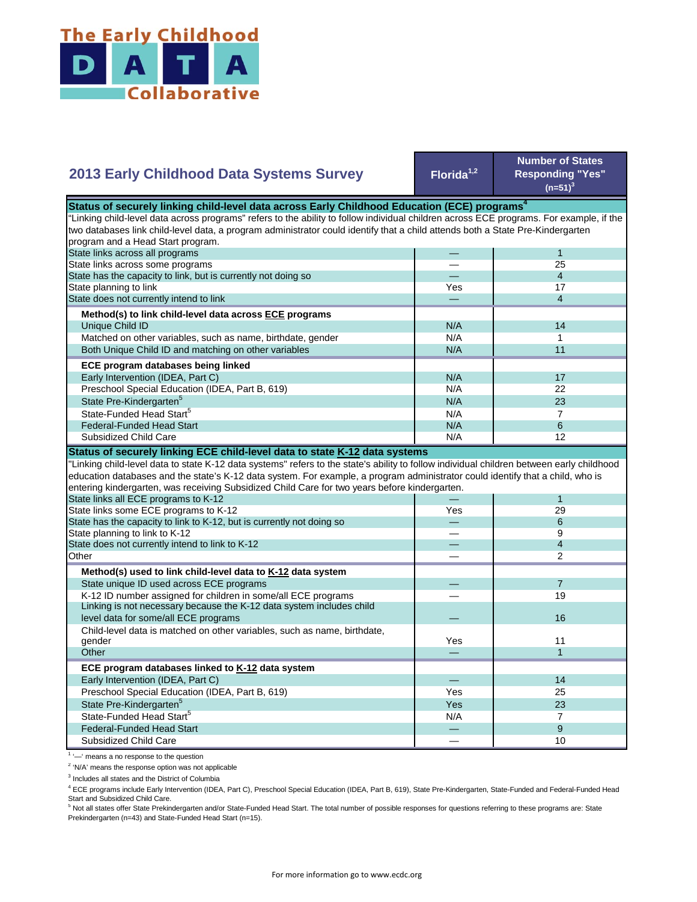

| <b>2013 Early Childhood Data Systems Survey</b>                                                                                           | Florida <sup>1,2</sup> | <b>Number of States</b><br><b>Responding "Yes"</b><br>$(n=51)^3$ |
|-------------------------------------------------------------------------------------------------------------------------------------------|------------------------|------------------------------------------------------------------|
| Status of securely linking child-level data across Early Childhood Education (ECE) programs <sup>4</sup>                                  |                        |                                                                  |
| 'Linking child-level data across programs" refers to the ability to follow individual children across ECE programs. For example, if the   |                        |                                                                  |
| two databases link child-level data, a program administrator could identify that a child attends both a State Pre-Kindergarten            |                        |                                                                  |
| program and a Head Start program.                                                                                                         |                        |                                                                  |
| State links across all programs                                                                                                           |                        | $\mathbf 1$                                                      |
| State links across some programs                                                                                                          |                        | 25                                                               |
| State has the capacity to link, but is currently not doing so                                                                             |                        | $\overline{4}$                                                   |
| State planning to link                                                                                                                    | Yes                    | 17                                                               |
| State does not currently intend to link                                                                                                   |                        | $\overline{4}$                                                   |
| Method(s) to link child-level data across ECE programs                                                                                    |                        |                                                                  |
| Unique Child ID                                                                                                                           | N/A                    | 14                                                               |
| Matched on other variables, such as name, birthdate, gender                                                                               | N/A                    | $\mathbf{1}$                                                     |
| Both Unique Child ID and matching on other variables                                                                                      | N/A                    | 11                                                               |
| ECE program databases being linked                                                                                                        |                        |                                                                  |
| Early Intervention (IDEA, Part C)                                                                                                         | N/A                    | 17                                                               |
| Preschool Special Education (IDEA, Part B, 619)                                                                                           | N/A                    | 22                                                               |
| State Pre-Kindergarten <sup>5</sup>                                                                                                       | N/A                    | 23                                                               |
| State-Funded Head Start <sup>5</sup>                                                                                                      |                        | $\overline{7}$                                                   |
|                                                                                                                                           | N/A                    |                                                                  |
|                                                                                                                                           |                        |                                                                  |
| <b>Federal-Funded Head Start</b>                                                                                                          | N/A                    | 6                                                                |
| Subsidized Child Care                                                                                                                     | N/A                    | 12                                                               |
| Status of securely linking ECE child-level data to state K-12 data systems                                                                |                        |                                                                  |
| 'Linking child-level data to state K-12 data systems" refers to the state's ability to follow individual children between early childhood |                        |                                                                  |
| education databases and the state's K-12 data system. For example, a program administrator could identify that a child, who is            |                        |                                                                  |
| entering kindergarten, was receiving Subsidized Child Care for two years before kindergarten.                                             |                        |                                                                  |
| State links all ECE programs to K-12                                                                                                      |                        | 1                                                                |
| State links some ECE programs to K-12                                                                                                     | Yes                    | 29                                                               |
| State has the capacity to link to K-12, but is currently not doing so                                                                     |                        | 6                                                                |
| State planning to link to K-12                                                                                                            |                        | 9                                                                |
| State does not currently intend to link to K-12                                                                                           |                        | $\overline{4}$                                                   |
| Other                                                                                                                                     |                        | $\overline{2}$                                                   |
| Method(s) used to link child-level data to K-12 data system                                                                               |                        |                                                                  |
| State unique ID used across ECE programs                                                                                                  |                        | $\overline{7}$                                                   |
| K-12 ID number assigned for children in some/all ECE programs                                                                             |                        | 19                                                               |
| Linking is not necessary because the K-12 data system includes child                                                                      |                        |                                                                  |
| level data for some/all ECE programs                                                                                                      |                        | 16                                                               |
| Child-level data is matched on other variables, such as name, birthdate,                                                                  |                        |                                                                  |
| gender                                                                                                                                    | Yes                    | 11                                                               |
| Other                                                                                                                                     |                        | $\mathbf{1}$                                                     |
| ECE program databases linked to K-12 data system                                                                                          |                        |                                                                  |
| Early Intervention (IDEA, Part C)                                                                                                         |                        | 14                                                               |
| Preschool Special Education (IDEA, Part B, 619)                                                                                           | Yes                    | 25                                                               |
| State Pre-Kindergarten <sup>5</sup>                                                                                                       | Yes                    | 23                                                               |
| State-Funded Head Start <sup>5</sup>                                                                                                      | N/A                    | $\overline{7}$                                                   |
| <b>Federal-Funded Head Start</b>                                                                                                          |                        | 9                                                                |

<sup>1</sup> '-' means a no response to the question

<sup>2</sup> 'N/A' means the response option was not applicable

<sup>3</sup> Includes all states and the District of Columbia

<sup>4</sup> ECE programs include Early Intervention (IDEA, Part C), Preschool Special Education (IDEA, Part B, 619), State Pre-Kindergarten, State-Funded and Federal-Funded Head

Start and Subsidized Child Care.<br><sup>5</sup> Not all states offer State Prekindergarten and/or State-Funded Head Start. The total number of possible responses for questions referring to these programs are: State Prekindergarten (n=43) and State-Funded Head Start (n=15).